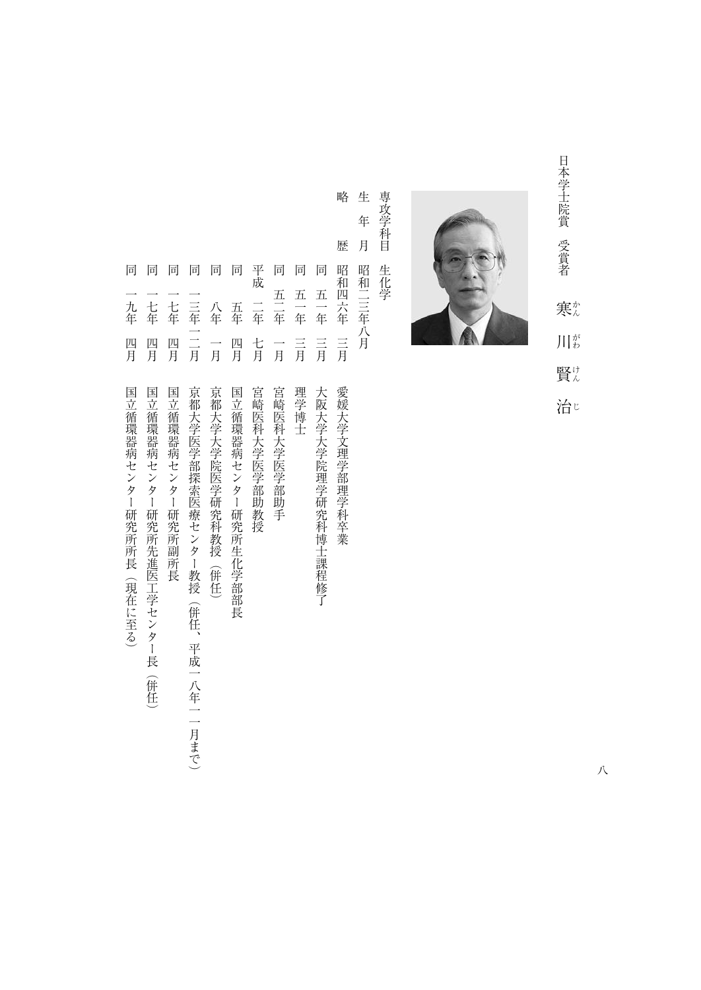日本学士院賞 受賞者 日本学士院賞受賞者 ふくしょう あいしょう しょうしょう しょうしょう しょうしょう 寒 こうしょう こうしゃ こうしゃ アクセストラックス しゅうしゃ かんきょう かんきょう かんきょう かんきょう かんきょう かんきょう かんきょう かんきょう かんきょう かんきょう  $\prod_{i\in\mathbb{Z}} \frac{\dot{\gamma}^s}{\dot{\gamma}}$ 賢々

治じ



生 専攻学科目 専攻学科目生化学 生化学

生年月昭和二三年八月 年 月 歴 昭和四六年 昭和二三年八月 同

略

略歴昭和四六年三月愛媛大学文理学部理学科卒業 同一七年四月国立循環器病センター研究所副所長 ○同八年(1882年) 1882年) 1882年 1882年 1882年 1882年 1882年 1882年 1882年 1882年 1882年 1882年 1882年 1882年 1882年 1882年 1882年 1 同五年四月国立論系病センター研究所生化学部長病センター研究所生化学部長病センター研究所生化学部長病センター研究所生化学部長病センター研究所生化学部長病センター研究所生化学部長病センター研究所生化学部長 平成二年七月宮崎医科大学医学部助教授 同五二年一月宮崎医科大学医学部助手 一月理学 一月理学 一月理学 一月理学 一月理学 同五一年三月大阪大学大学院理学研究科博士課程修了 五二年 五一年 五一年 二年 一七年 二三年一二月 一七年 八年 五年 三月 四月 言 四月 四月 七月 言月 一月 一月 国立循環器病センター研究所副所長 京都大学大学院医学研究科教授(併任) 国立循環器病センター研究所生化学部部長 宮崎医科大学医学部助教授 宮崎医科大学医学部助手 理学博士 大阪大学大学院理学研究科博士課程修了 愛媛大学文理学部理学科卒業

平成

同 同

同

同

- 同一年一月 万年 大学医学学 医血管切除术 医血管切除术 医血管切除术 医血管切除术 医血管切除术 医血管切除术 医血管切除术 医血管切除术 医血管切除术 医血管切除术 医血管切除术 京都大学医学部探索医療センター教授 (併任、平成一八年一一月まで)
- 
- 一九年 四月 国立循環器病センター研究所所長(現在に至る)
- 日本語 あいしゅう こうしゅうしゅ こうしゅう こうしゅう こうしゅう こうしゅう こうしゅうしゅ こうしゅうしゅ しゅうしゅう こうしゅうしゅ こうしゅうしゅ こうしゅうしゅ
	-
	-
- 同一九年四月国立論 (現在に至る) のみには、この場合のある。 この場合 こうしゅうしゅうしゅうしゅうしゅうしゅ
- 国立循環器病センター研究所先進医工学センター長
- (併任)
- 
- 

同 同 同

同

- 
- 
-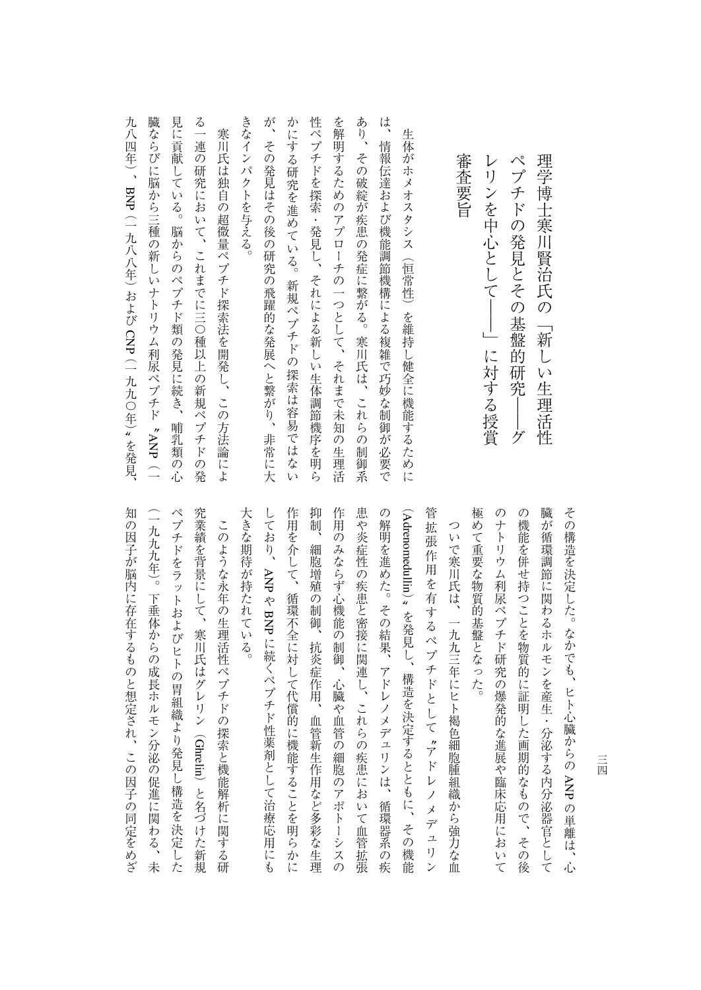| $\curvearrowright^\circ$<br>レリンを中心として――」に対する授賞<br>プチドの発見とその基盤的研究<br>グ |
|-----------------------------------------------------------------------|
| 審査要旨                                                                  |
|                                                                       |
| 生体がホメオスタシス(恒常性)を維持し健全に機能するために                                         |
| は、<br>情報伝達および機能調節機構による複雑で巧妙な制御が必要で                                    |
| あり、その破綻が疾患の発症に繋がる。寒川氏は、これらの制御系                                        |
| を解明するためのアプローチの一つとして、それまで未知の<br>生理活                                    |
| 性ペプチドを探索・発見し、それによる新しい生体調節機序を明ら                                        |
| かにする<br>研究を進めている。<br>新規ペプチドの探索は容易では<br>ない                             |
| が、その発見はその後の研究の飛躍的な発展へと繋がり、<br>非常に大                                    |
| きなインパクトを与える。                                                          |
| 寒川氏は独自の超微量ペプチド探索法を開発し、この方法論によ                                         |
| る一連の<br>研究において、これまでに三〇種以上の新規ペプチドの発                                    |
| 見に貢献<br>している。<br>脳からのペプチド類の発見に続き、<br>哺乳類<br>の心                        |
| 臓ならびに脳から三種の新しいナトリウム利尿ペプチド 〝ANP(一                                      |
| 九八四年)、BNP(一九八八年)および CNP(一九九〇年)〟を発見、                                   |

抑制、 患や炎症性の疾患と密接に関連し、これらの疾患において血管拡張 大きな期待が持たれている。 作用を介して、循環不全に対して代償的に機能することを明らかに 作用のみならず心機能の制御、心臓や血管の細胞のアポトーシスの の解明を進めた。その結果、アドレノメデュリンは、循環器系の疾 管拡張作用を有するペプチドとして、アドレノメデュリン 極めて重要な物質的基盤となった。 のナトリウム利尿ペプチド研究の爆発的な進展や臨床応用において の機能を併せ持つことを物質的に証明した画期的なもので、その後 臓が循環調節に関わるホルモンを産生・分泌する内分泌器官として その構造を決定した。なかでも、ヒト心臓からの ANPの単離は、心 Adrenomedullin究業績を背景にして、寒川氏はグレリン(大きな期待が持たれている。 しており、作用を示して、結果を示して、結果を示して、結果を引き取り、結果を引き取り、これに関することを明らかに対して、 このことを明らかに こうしょう 神経の いちかん おおおお しゅうしゅう しゅうしゅう こうしゅう こうしゅう こうしゅう こうしゅう こうしゅうしゅ 作用のみならず心機能の制御、心臓や血管の細胞のアポトーシスの ものに、これらの疾患に関連して血管拡張して血管拡張して血管拡張して血管拡張して血管拡張して血管拡張して血管がある。 このような の解明を進めた。その結果、アドレノメディスは、アドレノメディスは、アドレノメディスは、アドレノメディスは、アドレノメディスは、アドレノメディスは、アドレノメディスは、アドレノメディスは、アドレノメディスは、アドレノメディ でも、このようなペプチドとして、このようなペプチドとして、このようなペプチドとして、このようなペプチドとして、このようなペプチドとして、このようなペプチドとして、このようなペプチドとして、このようなペ 極めて重要な物質的基盤となった。 のキトリウム科学 かいしょう あいしゅう あいしゅう あいしゅう あいしゅう しゅうしゅう あいしゅう あいしゅう あいしゅう あいしゅう あいしゅう あいしゅう の機能を併せ持つことを物質的に証明した画期的なもので、その後 戦後には、このような自身を保護しているわけで、そのような自身を保護しているわけで、そのような自身を保護しているわけで、そのような自身を保護しているわけで、そのような自身を保護しているのは、 その構造を決定した。なかでも、ヒト心臓からのついで寒川氏は、一九九三年にヒト褐色細胞腫組織から強力な血 ついでは、一九八二年には、一九八二年には、一九八二年には、一九八二年には、一九八二年には、一九八二年には、一九八二年には、一九八二年には、一九八二年には、一九八二年には、一九八二年には、一九八二年には 細胞増殖の制御、抗炎症作用、血管新生作用など多彩な生理 ANP  $\frac{u}{2}$ やBNP と、その機能を決定するとともに、その機能を決定するとともに、その機能を決定するとともに、その機能を決定するとともに、その機能を決定するとともに、その機能を決定するとともに、その機能を実現するとともに、 に続くペプチド性薬剤として治療応用にも ことに こうしょう こうしょう しょうこう しゅうしょう しゅうしょう しゅうしょう しゅうしょう しゅうしょう しゅうしょう しゅうしゅう しゅうしょう しゅうしゅう しゅうしゅう しゅうしゃ

知の因子が脳内に存在するものと想定され、この因子の同定をめざ (一九九九年)。下垂体からの成長ホルモン分泌の促進に関わる、未 ペプチドをラットおよびヒトの胃組織より発見し構造を決定した 究業績を背景にして、寒川氏はグレリン(Ghrelin)と名づけた新規 (一九トキン)。下一年(1888年)。下一月(1888年)。下一月(1888年)、下午(1888年)、下午(1888年)、下午(1888年)、下午(1888年)、下午(1888年)、下午(1888年) かのこと いちのころ このころ このころ このころ このころ このころ このころ このころ ペプチドをラットおよびヒトの胃組織より発見し構造を決定した このような永年の生理活性ペプチドの探索と機能解析に関する研 このような永年の生理活性ペプチドの探索と機能解析に関する研 )と名づけた新規

三四 三四

アースト エクストランド しゅうしゅう しゅうしゅう しゅうしゅう しゅうしゅう しゅうしゅう しゅうしゅう しゅうしゅう しゅうしゅう しゅうしゅう しゅうしゅう しゅうしゅう しゅうしゅう しゅうしゅう ペプチドの発見とその基盤的研究――グ

理学博士寒川賢治氏の「新しい生理活性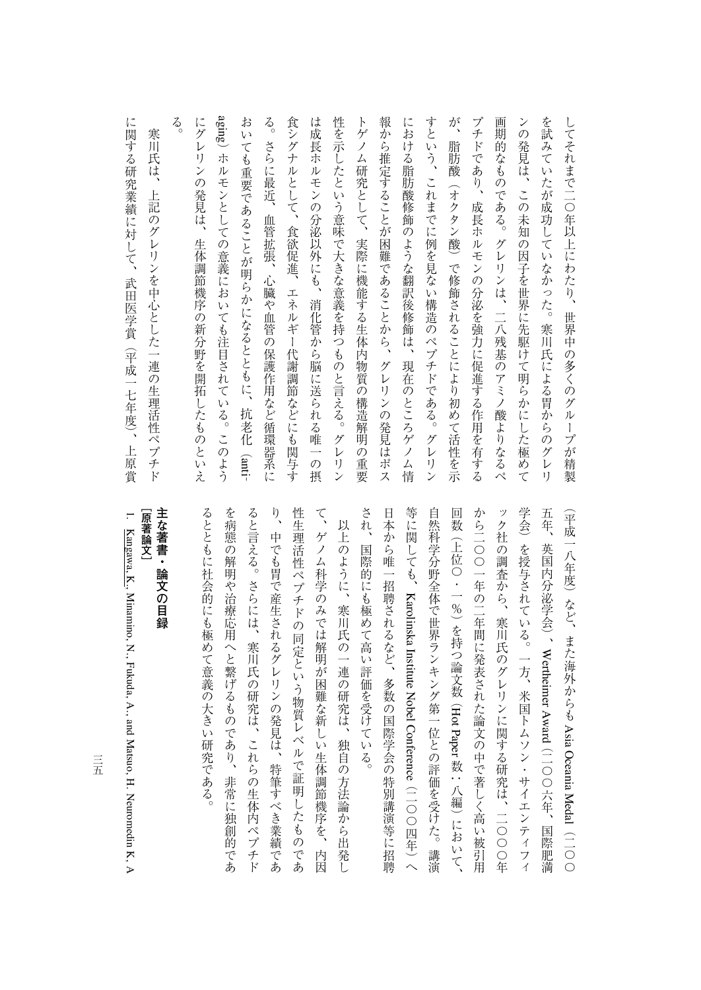る aging) ホルモンとしての意義においても注目されている。このよう  $\frac{2}{\circ}$ 食シグナルとして、食欲促進、エネルギー代謝調節などにも関与す 報から推定することが困難であることから、 すという、これまでに例を見ない構造のペプチドである。グレリン が、 にグレリンの発見は、生体調節機序の新分野を開拓したものといえ おいても重要であることが明らかになるとともに、抗老化 (anti-は成長ホルモンの分泌以外にも、消化管から脳に送られる唯一の摂 性を示したという意味で大きな意義を持つものと言える。グレリン トゲノム研究として、実際に機能する生体内物質の構造解明の重要 における脂肪酸修飾のような翻訳後修飾は、 プチドであり、成長ホルモンの分泌を強力に促進する作用を有する 画期的なものである。グレリンは、二八残基のアミノ酸よりなるペ ンの発見は、この未知の因子を世界に先駆けて明らかにした極めて を試みていたが成功していなかった。寒川氏による胃からのグレリ してそれまで二〇年以上にわたり、世界中の多くのグループが精製 にグレリンの発見は、生体調節機序の新分野を開拓したものといえます。 おいても きょうかい しゅうしゅう しゅうしゅう しゅうしゅう しゅうしゅう しゅうしゅう しゅうしゅう しゅうしゅう しゅうしゅう しゅうしゅう しゅうしゅう しゅうしゅう 。このことは、血管に関すると、血管が低血管が高度によっては、血管が低血管が高度によっては、血管が低血管が高度によっては、血管が低血管の保護作用など結果がある。 食シグナルとして、食欲促進、エネルギー代謝調節などにも関与す は成長ホルモンの分泌以外にも、消化管から脳に送られる唯一の摂 たちには、それは、グレリンスのことを持つものと言える。グレリンスのと言える。グレリンスのことを持つものと言える。グレリンスのことを持つものと言える。グレリンスのことを持つものと言える。グレリンスのこと トゲノムの構造解細の重要な生体の構造解細の重要な生体の構造解細の重要な生体の構造解細の重要な生体の構造解細の重要な生体の構造解細の重要な生体の構造解細の重要な生体の構造解細の重要な生体の構造解細の重要 。<br>『グレリンの発見はポストの発見はポストの発見はポストの発見はポストの発見はポストの発見はポストの発見はポストの発見はポストの発見はポストの発見はポストの発見はポストの発見はポストの発見はポストの発見はポストの発見はポスト には、そうな解説を教えているのは、現在のところがあります。 すという、これまでに例を見ない構造のペプチドである。グレリン が、脂肪酸(オクタン酸)で修飾されることにより初めて活性を示 プチドであり、 スキドモン スキドモン はんしゅう しゅうしゅう しゅうしゅう しゅうしゅう しゅうしゅう しゅうしゅう しゅうしゅう しゅうしゅう しゅうしゅうしゅ 画期的なものである。グレリンは、二八残基のアミノ酸よりなるペ ンの発見は、この未知の思いで、この未知の思いで、この未知の思いで、この未知の思いで、この未知の思いで、この未知の思いで、この未知の思いで、この未知の思いで、この未知の思いで、この未知の思いで、この未知 を試みていたが成功していなかった。寒川氏による胃からのグレリ してそれまで二〇年以上にわたり、世界中の多くのグループが精製 寒川氏は、 脂肪酸(オクタン酸)で修飾されることにより初めて活性を示 さらに最近、 )ホルモンとしての意義においても注目されている。このような。このようなようなものようなようなものようなものようなようなものようなようなものようなようなものようなようなものようなようなものです。このようなものは、このようなものも注目されている。このようなようなものも注目されている。このようなものは、このようなものも注目されている。このようなものは、このようなものは、このようなものは、このようなものは、このようなものは、このようなものは、この 血管拡張、 心臓や血管の保護作用など循環器系に グレリンの発見はポス 現在のところゲノム情

に関する研究業績に対して、武田医学賞(平成一七年度)、上原賞 に、「大田医学賞」に対して、「大田医学賞」に対して、「大田医学賞」に対して、「大田医学賞」に対して、「大田医学賞」に対して、「大田医学賞」に対して、「大田医学賞」に対して、「大田医学賞」に対して、「大 川氏は、上記のグレリンを中心とした一連の生理活性ペプチド 上記のグレリンを中心とした一連の生理活性ペプチド

> され、国際的にも極めて高い評価を受けている。 学会) を授与されている。一方、米国トムソン・サイエンティフィ 日本から唯一招聘されるなど、多数の国際学会の特別講演等に招聘 自然科学分野全体で世界ランキング第一位との評価を受けた。講演 から二〇〇一年の二年間に発表された論文の中で著しく高い被引用 ック社の調査から、寒川氏のグレリンに関する研究は、二〇〇〇年 五年、英国内分泌学会)、Wertheimer Award (二〇〇六年、 (平成一八年度)など、また海外からものです。 しゅうしょう され、国際的にも極めて高い評価を受けている。 日本から唯一招聘されるなど、多数の国際学会の特別講演等に招聘 自然科学会 きょうしゅう アンディー・エンジェン アンディー・エンジェン きょうしゅう こうしゅう こうしゅう こうしゅう しょうしゃ しゅうしゅう しゅうしょう しゅうしゅう しゅうしゅう しゅうしゅう しゅうしゅう しゅうしゅう しゅうしゅう しゅうしゅう しゅうしゅう しゅうしゅう から二〇〇一年の二年間に発表された論文の中で著しく高い被引用 ック社の調査から、寒川氏のグレリンに関する研究は、二〇〇〇年 学会)を授与されている。一方、米国トムソン・サイエンティフィ 五年、英国内分泌学会)、Karolinska InstituteWertheimer NobelHot ConferenceAsia Oceania Paper (二〇〇六年、国際肥満 ~<br>八 (二〇〇四年)へ Medal $\ddot{\hspace{1.5cm}}$ 国際肥満 (一つの) こうしょう こうしょう こうしょう こうしゃ アイ・プレーター

り、中でも胃で産生されるグレリンの発見は、特筆すべき業績であ 性生理活性ペプチドの同定という物質レベルで証明したものであ るとともに社会的にも極めて意義の大きい研究である。 を病態の解明や治療応用へと繋げるものであり、非常に独創的であ ると言える。さらには、寒川氏の研究は、これらの生体内ペプチド て、ゲノム科学のみでは解明が困難な新しい生体調節機序を、 ともには、そのようには、そのようには、そのようには、そのようには、そのようには、そのようには、そのようには、そのようには、そのようには、そのようには、そのようには、そのようには、そのようには、そのよう たちには、 そのようには、 そのようには、 そのようには、 そのようには、 そのようには、 そのようには、 そのようには、 そのようには、 そのようには、 そのようには、 そのようには、 そのようには、 そのようには、 そのようには、 そのようには、 そのようには、 そのようには、 そのようには、 そのようには、 そのようには、 そのようには、 そのようには、 そのようには、 そのようには、 そのようには、 そのようには、 そのようには、 ると言える。さらには、寒川氏の研究は、これらの生体内ペプチド り、中でも胃で産生されるグレリンの発見は、特筆すべき業績である。 人生理法の同定という物質レベルでは、そのことには、このことには、このことには、このことには、このことには、このことには、このことには、このことには、このことには、このことには、このことには、このことに て、ゲノム科学のみでは解明が困難な新しい生体調節機序を、内図のみでは解明が困難な新しい生体調節機序を、内図のみでは解明が困難なポレストを、内図のみでは解明が困難なポレストを、内図のみでは解明が困難なポ 以上のように、寒川氏の一連の研究は、独自の方法論から出発し いしい はいしゅう しゅうしゅう あいしゅう あいしゅう あいしゅう あいしゅう あいしゅう あいしゅう あいしゅう あいしゅう あいしゅう あいしゅう あいしゅう あいしゅう 内因

## 主な著書・論文の目録 [原著論文] **[原著論文] 主な著書・論文の目録**

1.

 Kangawa, K., Minamino, N., Fukuda, A., and Matsuo, H. Neuromedin K,A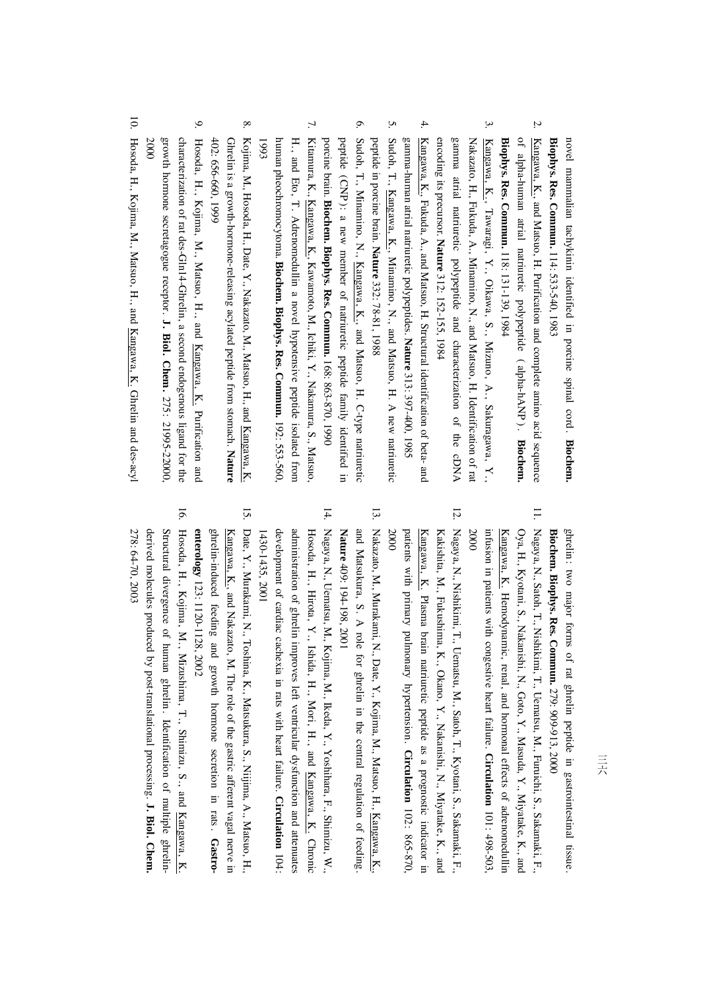novel mammalian tachykinin identifiedin. porcine spinal cord . **Biochem. Biophys. Res. Commun.** 114: 533-540, 1983

- 2. Kangawa, K., and Matsuo, H. Purification and complete amino acid sequence ۹ alpha-human atrial natriuretic polypeptide $\overline{\phantom{1}}$ alpha-hANP $\widetilde{\phantom{a}}$ **Biochem. Biophys. Res. Commun.** 118: 131-139, 1984
- 3. Kangawa, K., Tawaragi, $\mathbf{X}$  Oikawa, S., Mizuno, A., Sakuragawa, $\mathbf{X}$ Nakazato, H., Fukuda, A., Minamino, N., and Matsuo, H. Identification<u>ຊ</u> rat gamma atrial natriuretic polypeptide and characterization of the cDNA encoding its precursor. **Nature** 312: 152-155, 1984
- 4. Kangawa, K., Fukuda, A., and Matsuo, H. Structural identification<u>ຊ</u> beta- and gamma-human atrial natriuretic polypeptides. **Nature** 313: 397-400, 1985
- 5. Sudoh, T., Kangawa, K., Minamino, N., and Matsuo, H. A new natriuretic peptidein. porcine brain. **Nature** 332:78-81, 1988
- 6. Sudoh, T., Minamino, N., Kangawa, K., and Matsuo, H. C-type natriuretic peptide (CNP ): a new member of natriuretic peptide family identifiedin. porcine brain. **Biochem. Biophys. Res. Commun.** 168: 863-870, 1990
- 7. Kitamura, K., Kangawa, K., Kawamoto, M., Ichiki, Y., Nakamura, S., Matsuo, H., and Eto, T. Adrenomedullin a novel hypotensive peptide isolated from human pheochromocytoma. **Biochem. Biophys. Res. Commun.** 192: 553-560, 1993
- 8. Ghrelin is a growth-hormone-releasing acylated peptide from stomach. Kojima, M., Hosoda, H., Date, $\breve{X}$  Nakazato, M., Matsuo, H., and Kangawa, K. **Nature** 402: 656-660, 1999
- 9. Hosoda, H., Kojima, M., Matsuo, H., and Kangawa, K. Purification and characterization of rat des-Gln14-Ghrelin, a second endogenous ligand for the growth hormonesecretagogue receptor. **J. Biol. Chem.** 275: 21995-22000, 2000
- 10. Hosoda, H., Kojima, M., Matsuo, H., and Kangawa, K.Ghrelin and des-acyl

ghrelin: two major forms<u>ຊ</u> rat ghrelin peptidein, gastrointestinal tissue . **Biochem. Biophys. Res. Commun.** 279: 909-913,2000

- 11. Nagaya, N., Satoh, T., Nishikimi, T., Uematsu, M., Furuichi, S., Sakamaki, F., Kangawa, K. Hemodynamic, re nal, andOya, H., Kyotani, S., Nakanishi, N., Goto, $\mathbf{y}$  Masuda, Y., Miyatake, K., and hormonal effects of adrenomedullin infusioni. patients with congestive heart failure. **Circulation** 101: 498-503, 2000
- 12. Nagaya, N., Nishikimi, T., Uematsu, M., Satoh,**ب**. Kyotani, S., Sakamaki, F., patients with primary pulmonary hypertension . Kangawa, K. Plasma brain natriuretic peptide as a prognostic indicatorin. Kakishita, M., Fukushima, K., Okano, Y., Nakanishi, N., Miyatake, K., and **Circulation** 102: 865-870, 2000
- 13. an dNakazato, M., Murakami, N., Date, $\mathbf{Y}$  Kojima, M., Matsuo, H., Kangawa, K., Matsukura, $\mathbf{S}$  A role for ghrelinin. the central regulation<u>ຊ</u> feeding. **Nature** 409: 194-198,2001
- 14. Nagaya, N., Uematsu, M., Kojima, M., Ikeda, Y., Yoshihara, F., Shimizu,≶. administration of ghrelin Hosoda, H., Hirota, Y., Ishida, H., Mori,H., and Kangawa, K. Chronic improves left ventricular dysfunction and attenuates development of cardiac cachexiain. rats with heart failure. **Circulation** 104: 1430-1435,1430-1435, 2001
- 15. Date, Y., Murakami, N., Toshina, K., Matsukura, S., Niijima, A., Matsuo, H., ghrelin-induced feeding and growth hormonesecretionin, rats . **Gastro-**Kangawa, K., and Nakazato, M. The role of the gastric afferent vagal nervein. **enterology** 123: 1120-1128,2002
- 16. Hosoda, H., Kojima, M., Mizushima, T., Shimizu, S., and Kangawa, K. derived molecules produced by post-translational processing. Structural divergence<u>ຊ</u> human ghrelin . Identification<u>ຊ</u> multiple ghrelin-**J. Biol. Chem.** 278: 64-70,2003